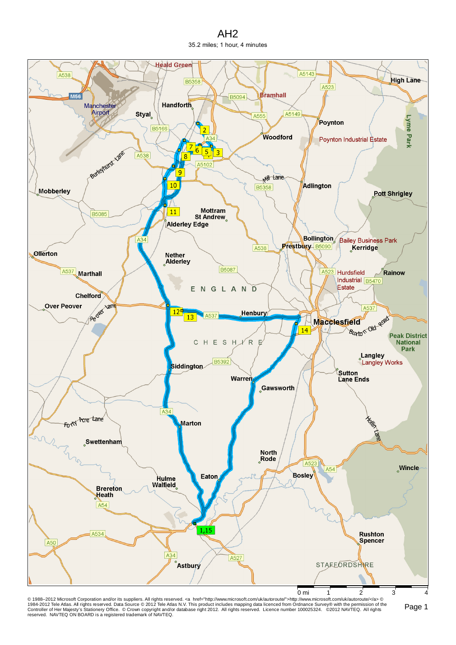## AH2 35.2 miles; 1 hour, 4 minutes



© 1988–2012 Microsoft Corporation and/or its suppliers. All rights reserved. ⊲a href="http://www.microsoft.com/uk/autoroute">http://www.microsoft.com/uk/autoroute/⊲a> ©<br>1984-2012 Tele Atlas. All rights reserved. Data Sour reserved. NAVTEQ ON BOARD is a registered trademark of NAVTEQ.

Page 1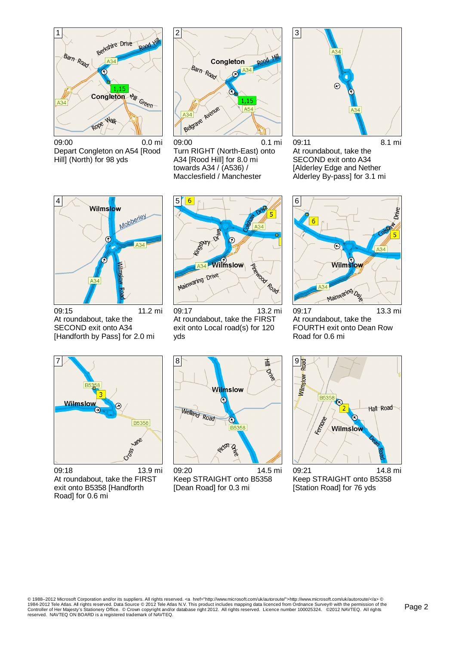

09:00 0.0 mi Depart Congleton on A54 [Rood Hill] (North) for 98 yds



09:00 0.1 mi Turn RIGHT (North-East) onto A34 [Rood Hill] for 8.0 mi towards A34 / (A536) / Macclesfield / Manchester



09:11 8.1 mi At roundabout, take the SECOND exit onto A34 [Alderley Edge and Nether Alderley By-pass] for 3.1 mi



09:15 11.2 mi At roundabout, take the SECOND exit onto A34 [Handforth by Pass] for 2.0 mi



09:17 13.2 mi At roundabout, take the FIRST exit onto Local road(s) for 120 yds



09:17 13.3 mi At roundabout, take the FOURTH exit onto Dean Row Road for 0.6 mi



09:18 13.9 mi At roundabout, take the FIRST exit onto B5358 [Handforth Road] for 0.6 mi



09:20 14.5 mi Keep STRAIGHT onto B5358 [Dean Road] for 0.3 mi



09:21 14.8 mi Keep STRAIGHT onto B5358 [Station Road] for 76 yds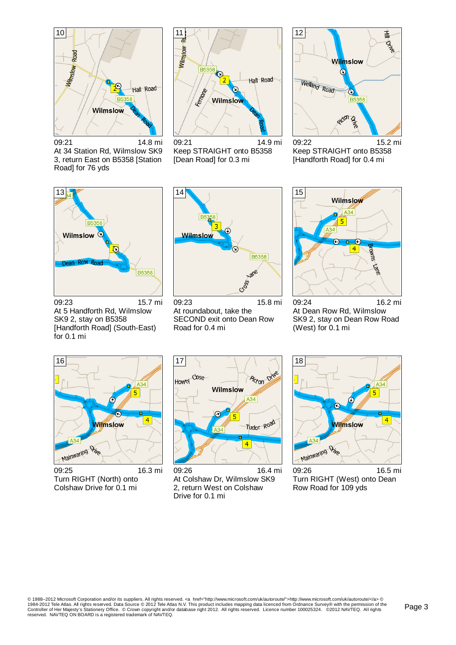

09:21 14.8 mi At 34 Station Rd, Wilmslow SK9 3, return East on B5358 [Station Road] for 76 yds



09:21 14.9 mi Keep STRAIGHT onto B5358 [Dean Road] for 0.3 mi



09:22 15.2 mi Keep STRAIGHT onto B5358 [Handforth Road] for 0.4 mi



09:23 15.7 mi At 5 Handforth Rd, Wilmslow SK9 2, stay on B5358 [Handforth Road] (South-East) for 0.1 mi



09:23 15.8 mi At roundabout, take the SECOND exit onto Dean Row Road for 0.4 mi



09:24 16.2 mi At Dean Row Rd, Wilmslow SK9 2, stay on Dean Row Road (West) for 0.1 mi



09:25 16.3 mi Turn RIGHT (North) onto Colshaw Drive for 0.1 mi



09:26 16.4 mi At Colshaw Dr, Wilmslow SK9 2, return West on Colshaw Drive for 0.1 mi



09:26 16.5 mi Turn RIGHT (West) onto Dean Row Road for 109 yds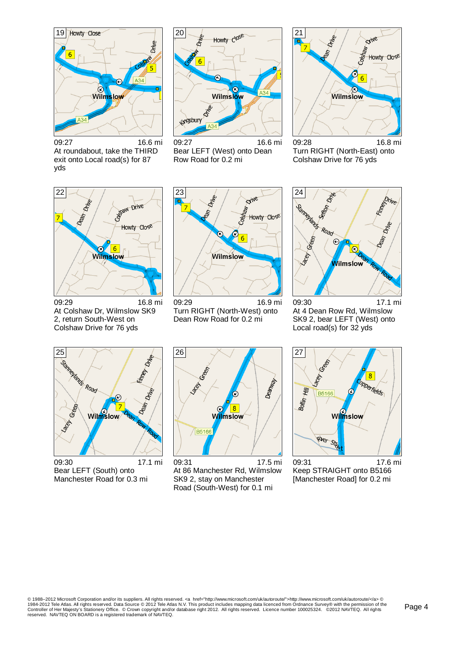

09:27 16.6 mi At roundabout, take the THIRD exit onto Local road(s) for 87 yds



09:27 16.6 mi Bear LEFT (West) onto Dean Row Road for 0.2 mi



09:28 16.8 mi Turn RIGHT (North-East) onto Colshaw Drive for 76 yds



09:29 16.8 mi At Colshaw Dr, Wilmslow SK9 2, return South-West on Colshaw Drive for 76 yds



09:29 16.9 mi Turn RIGHT (North-West) onto Dean Row Road for 0.2 mi



09:30 17.1 mi At 4 Dean Row Rd, Wilmslow SK9 2, bear LEFT (West) onto Local road(s) for 32 yds



09:30 17.1 mi Bear LEFT (South) onto Manchester Road for 0.3 mi



09:31 17.5 mi At 86 Manchester Rd, Wilmslow SK9 2, stay on Manchester Road (South-West) for 0.1 mi



09:31 17.6 mi Keep STRAIGHT onto B5166 [Manchester Road] for 0.2 mi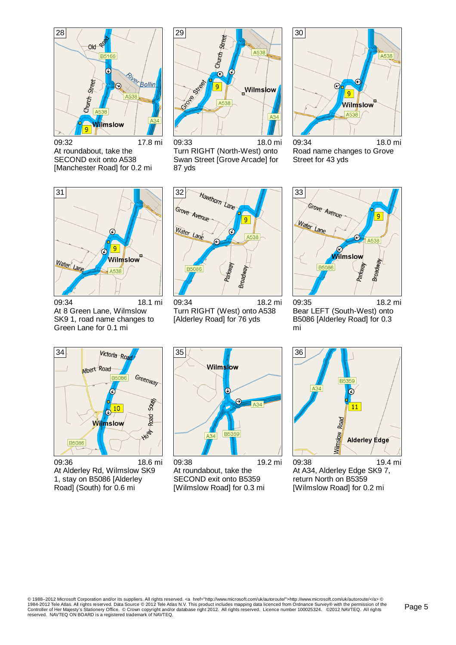

09:32 17.8 mi At roundabout, take the SECOND exit onto A538 [Manchester Road] for 0.2 mi



09:33 18.0 mi Turn RIGHT (North-West) onto Swan Street [Grove Arcade] for 87 yds



09:34 18.0 mi Road name changes to Grove Street for 43 yds



09:34 18.1 mi At 8 Green Lane, Wilmslow SK9 1, road name changes to Green Lane for 0.1 mi



09:34 18.2 mi Turn RIGHT (West) onto A538 [Alderley Road] for 76 yds



09:35 18.2 mi Bear LEFT (South-West) onto B5086 [Alderley Road] for 0.3 mi



09:36 18.6 mi At Alderley Rd, Wilmslow SK9 1, stay on B5086 [Alderley Road] (South) for 0.6 mi



09:38 19.2 mi At roundabout, take the SECOND exit onto B5359 [Wilmslow Road] for 0.3 mi



09:38 19.4 mi At A34, Alderley Edge SK9 7, return North on B5359 [Wilmslow Road] for 0.2 mi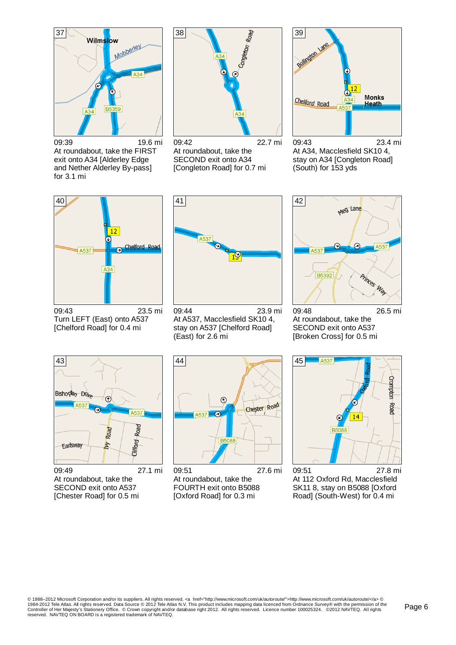

09:39 19.6 mi At roundabout, take the FIRST exit onto A34 [Alderley Edge and Nether Alderley By-pass] for 3.1 mi



09:42 22.7 mi At roundabout, take the SECOND exit onto A34 [Congleton Road] for 0.7 mi



09:43 23.4 mi At A34, Macclesfield SK10 4, stay on A34 [Congleton Road] (South) for 153 yds



09:43 23.5 mi Turn LEFT (East) onto A537 [Chelford Road] for 0.4 mi



09:44 23.9 mi At A537, Macclesfield SK10 4, stay on A537 [Chelford Road] (East) for 2.6 mi



09:48 26.5 mi At roundabout, take the SECOND exit onto A537 [Broken Cross] for 0.5 mi



09:49 27.1 mi At roundabout, take the SECOND exit onto A537 [Chester Road] for 0.5 mi



09:51 27.6 mi At roundabout, take the FOURTH exit onto B5088 [Oxford Road] for 0.3 mi



09:51 27.8 mi At 112 Oxford Rd, Macclesfield SK11 8, stay on B5088 [Oxford Road] (South-West) for 0.4 mi